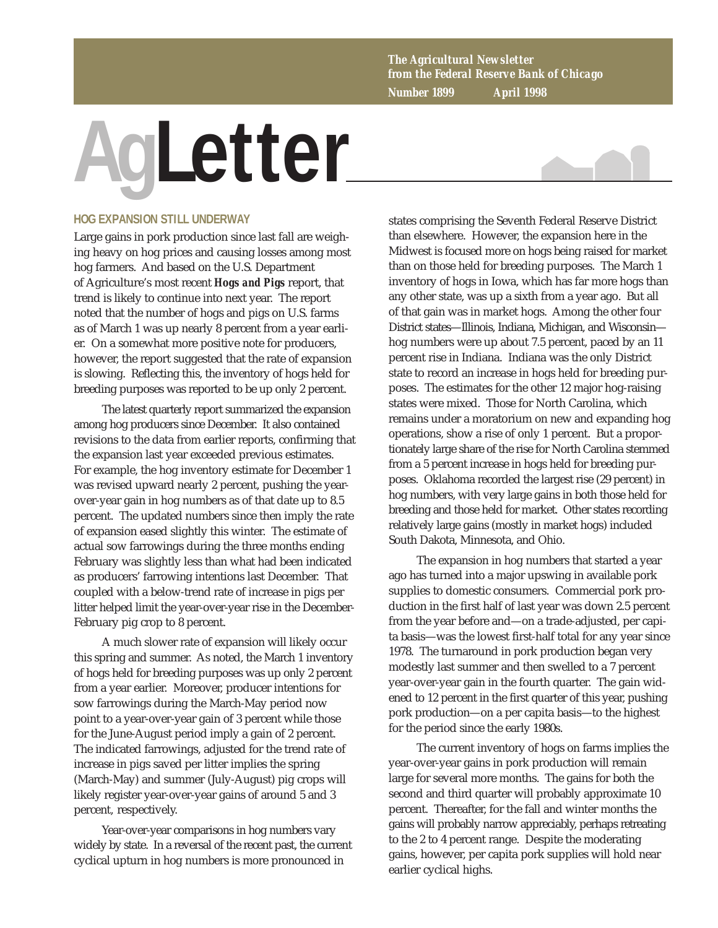*The Agricultural Newsletter from the Federal Reserve Bank of Chicago Number 1899 April 1998*

## **AgLetter**



## **HOG EXPANSION STILL UNDERWAY**

Large gains in pork production since last fall are weighing heavy on hog prices and causing losses among most hog farmers. And based on the U.S. Department of Agriculture's most recent *Hogs and Pigs* report, that trend is likely to continue into next year. The report noted that the number of hogs and pigs on U.S. farms as of March 1 was up nearly 8 percent from a year earlier. On a somewhat more positive note for producers, however, the report suggested that the rate of expansion is slowing. Reflecting this, the inventory of hogs held for breeding purposes was reported to be up only 2 percent.

The latest quarterly report summarized the expansion among hog producers since December. It also contained revisions to the data from earlier reports, confirming that the expansion last year exceeded previous estimates. For example, the hog inventory estimate for December 1 was revised upward nearly 2 percent, pushing the yearover-year gain in hog numbers as of that date up to 8.5 percent. The updated numbers since then imply the rate of expansion eased slightly this winter. The estimate of actual sow farrowings during the three months ending February was slightly less than what had been indicated as producers' farrowing intentions last December. That coupled with a below-trend rate of increase in pigs per litter helped limit the year-over-year rise in the December-February pig crop to 8 percent.

A much slower rate of expansion will likely occur this spring and summer. As noted, the March 1 inventory of hogs held for breeding purposes was up only 2 percent from a year earlier. Moreover, producer intentions for sow farrowings during the March-May period now point to a year-over-year gain of 3 percent while those for the June-August period imply a gain of 2 percent. The indicated farrowings, adjusted for the trend rate of increase in pigs saved per litter implies the spring (March-May) and summer (July-August) pig crops will likely register year-over-year gains of around 5 and 3 percent, respectively.

Year-over-year comparisons in hog numbers vary widely by state. In a reversal of the recent past, the current cyclical upturn in hog numbers is more pronounced in

states comprising the Seventh Federal Reserve District than elsewhere. However, the expansion here in the Midwest is focused more on hogs being raised for market than on those held for breeding purposes. The March 1 inventory of hogs in Iowa, which has far more hogs than any other state, was up a sixth from a year ago. But all of that gain was in market hogs. Among the other four District states—Illinois, Indiana, Michigan, and Wisconsin hog numbers were up about 7.5 percent, paced by an 11 percent rise in Indiana. Indiana was the only District state to record an increase in hogs held for breeding purposes. The estimates for the other 12 major hog-raising states were mixed. Those for North Carolina, which remains under a moratorium on new and expanding hog operations, show a rise of only 1 percent. But a proportionately large share of the rise for North Carolina stemmed from a 5 percent increase in hogs held for breeding purposes. Oklahoma recorded the largest rise (29 percent) in hog numbers, with very large gains in both those held for breeding and those held for market. Other states recording relatively large gains (mostly in market hogs) included South Dakota, Minnesota, and Ohio.

The expansion in hog numbers that started a year ago has turned into a major upswing in available pork supplies to domestic consumers. Commercial pork production in the first half of last year was down 2.5 percent from the year before and—on a trade-adjusted, per capita basis—was the lowest first-half total for any year since 1978. The turnaround in pork production began very modestly last summer and then swelled to a 7 percent year-over-year gain in the fourth quarter. The gain widened to 12 percent in the first quarter of this year, pushing pork production—on a per capita basis—to the highest for the period since the early 1980s.

The current inventory of hogs on farms implies the year-over-year gains in pork production will remain large for several more months. The gains for both the second and third quarter will probably approximate 10 percent. Thereafter, for the fall and winter months the gains will probably narrow appreciably, perhaps retreating to the 2 to 4 percent range. Despite the moderating gains, however, per capita pork supplies will hold near earlier cyclical highs.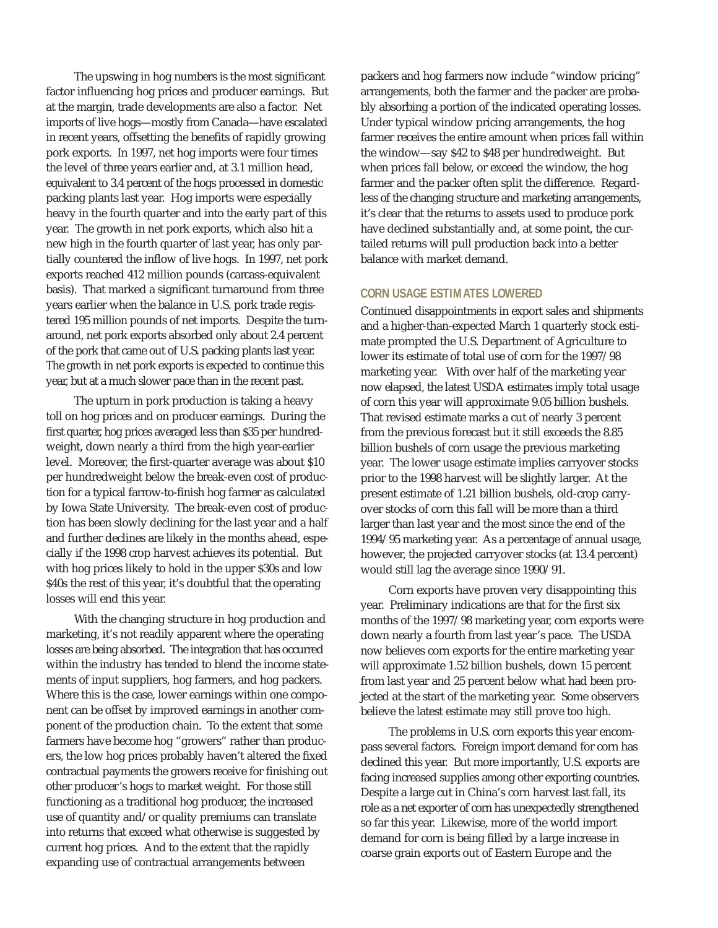The upswing in hog numbers is the most significant factor influencing hog prices and producer earnings. But at the margin, trade developments are also a factor. Net imports of live hogs—mostly from Canada—have escalated in recent years, offsetting the benefits of rapidly growing pork exports. In 1997, net hog imports were four times the level of three years earlier and, at 3.1 million head, equivalent to 3.4 percent of the hogs processed in domestic packing plants last year. Hog imports were especially heavy in the fourth quarter and into the early part of this year. The growth in net pork exports, which also hit a new high in the fourth quarter of last year, has only partially countered the inflow of live hogs. In 1997, net pork exports reached 412 million pounds (carcass-equivalent basis). That marked a significant turnaround from three years earlier when the balance in U.S. pork trade registered 195 million pounds of net imports. Despite the turnaround, net pork exports absorbed only about 2.4 percent of the pork that came out of U.S. packing plants last year. The growth in net pork exports is expected to continue this year, but at a much slower pace than in the recent past.

The upturn in pork production is taking a heavy toll on hog prices and on producer earnings. During the first quarter, hog prices averaged less than \$35 per hundredweight, down nearly a third from the high year-earlier level. Moreover, the first-quarter average was about \$10 per hundredweight below the break-even cost of production for a typical farrow-to-finish hog farmer as calculated by Iowa State University. The break-even cost of production has been slowly declining for the last year and a half and further declines are likely in the months ahead, especially if the 1998 crop harvest achieves its potential. But with hog prices likely to hold in the upper \$30s and low \$40s the rest of this year, it's doubtful that the operating losses will end this year.

With the changing structure in hog production and marketing, it's not readily apparent where the operating losses are being absorbed. The integration that has occurred within the industry has tended to blend the income statements of input suppliers, hog farmers, and hog packers. Where this is the case, lower earnings within one component can be offset by improved earnings in another component of the production chain. To the extent that some farmers have become hog "growers" rather than producers, the low hog prices probably haven't altered the fixed contractual payments the growers receive for finishing out other producer's hogs to market weight. For those still functioning as a traditional hog producer, the increased use of quantity and/or quality premiums can translate into returns that exceed what otherwise is suggested by current hog prices. And to the extent that the rapidly expanding use of contractual arrangements between

packers and hog farmers now include "window pricing" arrangements, both the farmer and the packer are probably absorbing a portion of the indicated operating losses. Under typical window pricing arrangements, the hog farmer receives the entire amount when prices fall within the window—say \$42 to \$48 per hundredweight. But when prices fall below, or exceed the window, the hog farmer and the packer often split the difference. Regardless of the changing structure and marketing arrangements, it's clear that the returns to assets used to produce pork have declined substantially and, at some point, the curtailed returns will pull production back into a better balance with market demand.

## **CORN USAGE ESTIMATES LOWERED**

Continued disappointments in export sales and shipments and a higher-than-expected March 1 quarterly stock estimate prompted the U.S. Department of Agriculture to lower its estimate of total use of corn for the 1997/98 marketing year. With over half of the marketing year now elapsed, the latest USDA estimates imply total usage of corn this year will approximate 9.05 billion bushels. That revised estimate marks a cut of nearly 3 percent from the previous forecast but it still exceeds the 8.85 billion bushels of corn usage the previous marketing year. The lower usage estimate implies carryover stocks prior to the 1998 harvest will be slightly larger. At the present estimate of 1.21 billion bushels, old-crop carryover stocks of corn this fall will be more than a third larger than last year and the most since the end of the 1994/95 marketing year. As a percentage of annual usage, however, the projected carryover stocks (at 13.4 percent) would still lag the average since 1990/91.

Corn exports have proven very disappointing this year. Preliminary indications are that for the first six months of the 1997/98 marketing year, corn exports were down nearly a fourth from last year's pace. The USDA now believes corn exports for the entire marketing year will approximate 1.52 billion bushels, down 15 percent from last year and 25 percent below what had been projected at the start of the marketing year. Some observers believe the latest estimate may still prove too high.

The problems in U.S. corn exports this year encompass several factors. Foreign import demand for corn has declined this year. But more importantly, U.S. exports are facing increased supplies among other exporting countries. Despite a large cut in China's corn harvest last fall, its role as a net exporter of corn has unexpectedly strengthened so far this year. Likewise, more of the world import demand for corn is being filled by a large increase in coarse grain exports out of Eastern Europe and the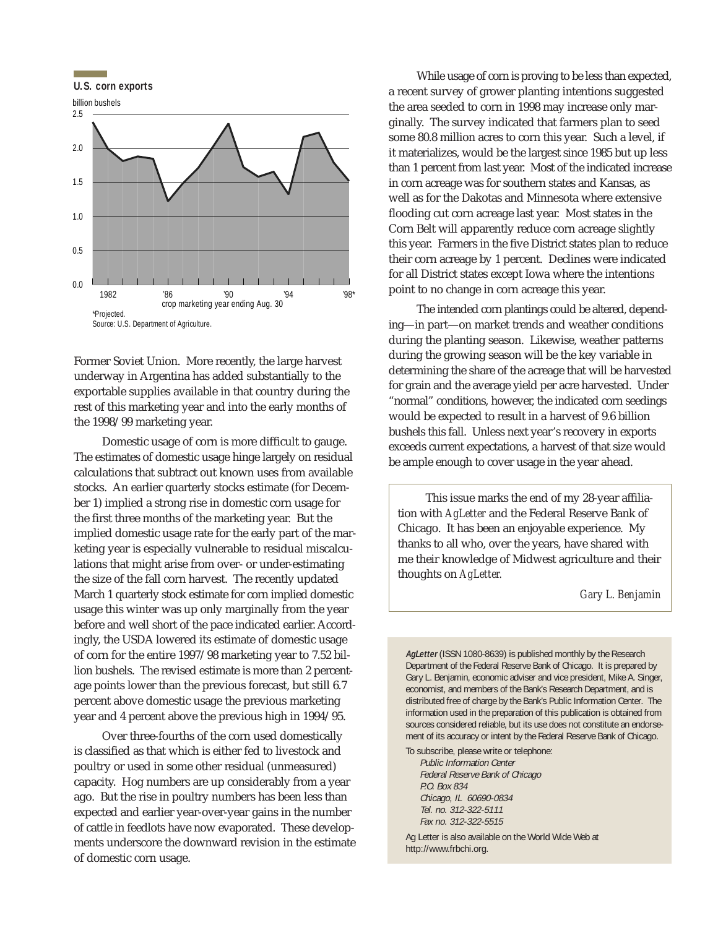

Former Soviet Union. More recently, the large harvest underway in Argentina has added substantially to the exportable supplies available in that country during the rest of this marketing year and into the early months of the 1998/99 marketing year.

Domestic usage of corn is more difficult to gauge. The estimates of domestic usage hinge largely on residual calculations that subtract out known uses from available stocks. An earlier quarterly stocks estimate (for December 1) implied a strong rise in domestic corn usage for the first three months of the marketing year. But the implied domestic usage rate for the early part of the marketing year is especially vulnerable to residual miscalculations that might arise from over- or under-estimating the size of the fall corn harvest. The recently updated March 1 quarterly stock estimate for corn implied domestic usage this winter was up only marginally from the year before and well short of the pace indicated earlier. Accordingly, the USDA lowered its estimate of domestic usage of corn for the entire 1997/98 marketing year to 7.52 billion bushels. The revised estimate is more than 2 percentage points lower than the previous forecast, but still 6.7 percent above domestic usage the previous marketing year and 4 percent above the previous high in 1994/95.

Over three-fourths of the corn used domestically is classified as that which is either fed to livestock and poultry or used in some other residual (unmeasured) capacity. Hog numbers are up considerably from a year ago. But the rise in poultry numbers has been less than expected and earlier year-over-year gains in the number of cattle in feedlots have now evaporated. These developments underscore the downward revision in the estimate of domestic corn usage.

While usage of corn is proving to be less than expected, a recent survey of grower planting intentions suggested the area seeded to corn in 1998 may increase only marginally. The survey indicated that farmers plan to seed some 80.8 million acres to corn this year. Such a level, if it materializes, would be the largest since 1985 but up less than 1 percent from last year. Most of the indicated increase in corn acreage was for southern states and Kansas, as well as for the Dakotas and Minnesota where extensive flooding cut corn acreage last year. Most states in the Corn Belt will apparently reduce corn acreage slightly this year. Farmers in the five District states plan to reduce their corn acreage by 1 percent. Declines were indicated for all District states except Iowa where the intentions point to no change in corn acreage this year.

The intended corn plantings could be altered, depending—in part—on market trends and weather conditions during the planting season. Likewise, weather patterns during the growing season will be the key variable in determining the share of the acreage that will be harvested for grain and the average yield per acre harvested. Under "normal" conditions, however, the indicated corn seedings would be expected to result in a harvest of 9.6 billion bushels this fall. Unless next year's recovery in exports exceeds current expectations, a harvest of that size would be ample enough to cover usage in the year ahead.

This issue marks the end of my 28-year affiliation with *AgLetter* and the Federal Reserve Bank of Chicago. It has been an enjoyable experience. My thanks to all who, over the years, have shared with me their knowledge of Midwest agriculture and their thoughts on *AgLetter.*

*Gary L. Benjamin*

**AgLetter** (ISSN 1080-8639) is published monthly by the Research Department of the Federal Reserve Bank of Chicago. It is prepared by Gary L. Benjamin, economic adviser and vice president, Mike A. Singer, economist, and members of the Bank's Research Department, and is distributed free of charge by the Bank's Public Information Center. The information used in the preparation of this publication is obtained from sources considered reliable, but its use does not constitute an endorsement of its accuracy or intent by the Federal Reserve Bank of Chicago.

To subscribe, please write or telephone: Public Information Center Federal Reserve Bank of Chicago P.O. Box 834 Chicago, IL 60690-0834 Tel. no. 312-322-5111 Fax no. 312-322-5515

Ag Letter is also available on the World Wide Web at http://www.frbchi.org.